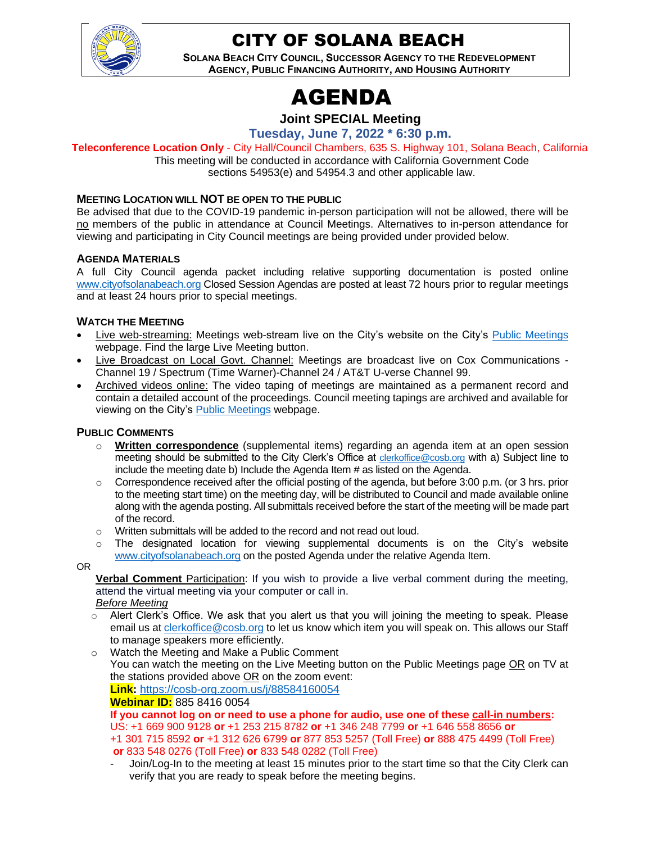

# CITY OF SOLANA BEACH

**SOLANA BEACH CITY COUNCIL, SUCCESSOR AGENCY TO THE REDEVELOPMENT AGENCY, PUBLIC FINANCING AUTHORITY, AND HOUSING AUTHORITY**

# AGENDA

### **Joint SPECIAL Meeting**

**Tuesday, June 7, 2022 \* 6:30 p.m.**

**Teleconference Location Only** - City Hall/Council Chambers, 635 S. Highway 101, Solana Beach, California

This meeting will be conducted in accordance with California Government Code sections 54953(e) and 54954.3 and other applicable law.

#### **MEETING LOCATION WILL NOT BE OPEN TO THE PUBLIC**

Be advised that due to the COVID-19 pandemic in-person participation will not be allowed, there will be no members of the public in attendance at Council Meetings. Alternatives to in-person attendance for viewing and participating in City Council meetings are being provided under provided below.

#### **AGENDA MATERIALS**

A full City Council agenda packet including relative supporting documentation is posted online www.cityofsolanabeach.org Closed Session Agendas are posted at least 72 hours prior to regular meetings and at least 24 hours prior to special meetings.

#### **WATCH THE MEETING**

- Live web-streaming: Meetings web-stream live on the City's website on the City's Public Meetings webpage. Find the large Live Meeting button.
- Live Broadcast on Local Govt. Channel: Meetings are broadcast live on Cox Communications Channel 19 / Spectrum (Time Warner)-Channel 24 / AT&T U-verse Channel 99.
- Archived videos online: The video taping of meetings are maintained as a permanent record and contain a detailed account of the proceedings. Council meeting tapings are archived and available for viewing on the City's Public Meetings webpage.

#### **PUBLIC COMMENTS**

- o **Written correspondence** (supplemental items) regarding an agenda item at an open session meeting should be submitted to the City Clerk's Office at clerkoffice@cosb.org with a) Subject line to include the meeting date b) Include the Agenda Item # as listed on the Agenda.
- $\circ$  Correspondence received after the official posting of the agenda, but before 3:00 p.m. (or 3 hrs. prior to the meeting start time) on the meeting day, will be distributed to Council and made available online along with the agenda posting. All submittals received before the start of the meeting will be made part of the record.
- $\circ$  Written submittals will be added to the record and not read out loud.
- o The designated location for viewing supplemental documents is on the City's website www.cityofsolanabeach.org on the posted Agenda under the relative Agenda Item.
- OR

**Verbal Comment** Participation: If you wish to provide a live verbal comment during the meeting, attend the virtual meeting via your computer or call in.

*Before Meeting*

- $\circ$  Alert Clerk's Office. We ask that you alert us that you will joining the meeting to speak. Please email us at clerkoffice@cosb.org to let us know which item you will speak on. This allows our Staff to manage speakers more efficiently.
- o Watch the Meeting and Make a Public Comment You can watch the meeting on the Live Meeting button on the Public Meetings page OR on TV at the stations provided above OR on the zoom event: **Link:** https://cosb-org.zoom.us/j/88584160054

**Webinar ID:** 885 8416 0054

**If you cannot log on or need to use a phone for audio, use one of these call-in numbers:** US: +1 669 900 9128 **or** +1 253 215 8782 **or** +1 346 248 7799 **or** +1 646 558 8656 **or** +1 301 715 8592 **or** +1 312 626 6799 **or** 877 853 5257 (Toll Free) **or** 888 475 4499 (Toll Free) **or** 833 548 0276 (Toll Free) **or** 833 548 0282 (Toll Free)

- Join/Log-In to the meeting at least 15 minutes prior to the start time so that the City Clerk can verify that you are ready to speak before the meeting begins.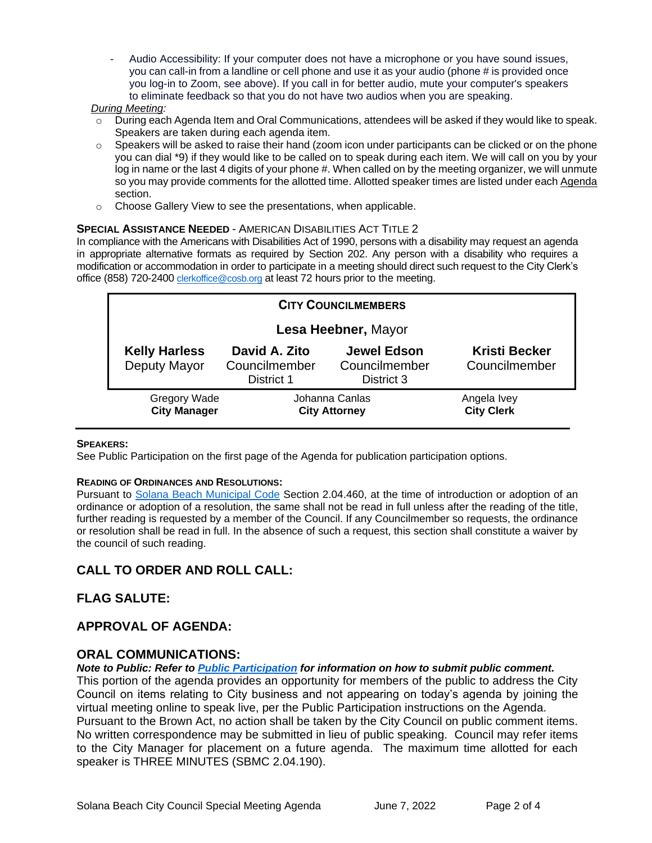- Audio Accessibility: If your computer does not have a microphone or you have sound issues, you can call-in from a landline or cell phone and use it as your audio (phone # is provided once you log-in to Zoom, see above). If you call in for better audio, mute your computer's speakers to eliminate feedback so that you do not have two audios when you are speaking.

#### *During Meeting:*

- $\circ$  During each Agenda Item and Oral Communications, attendees will be asked if they would like to speak. Speakers are taken during each agenda item.
- $\circ$  Speakers will be asked to raise their hand (zoom icon under participants can be clicked or on the phone you can dial \*9) if they would like to be called on to speak during each item. We will call on you by your log in name or the last 4 digits of your phone #. When called on by the meeting organizer, we will unmute so you may provide comments for the allotted time. Allotted speaker times are listed under each Agenda section.
- o Choose Gallery View to see the presentations, when applicable.

#### **SPECIAL ASSISTANCE NEEDED** - AMERICAN DISABILITIES ACT TITLE 2

In compliance with the Americans with Disabilities Act of 1990, persons with a disability may request an agenda in appropriate alternative formats as required by Section 202. Any person with a disability who requires a modification or accommodation in order to participate in a meeting should direct such request to the City Clerk's office (858) 720-2400 clerkoffice@cosb.org at least 72 hours prior to the meeting.

| <b>CITY COUNCILMEMBERS</b>                 |                                              |                                                   |                                       |
|--------------------------------------------|----------------------------------------------|---------------------------------------------------|---------------------------------------|
| Lesa Heebner, Mayor                        |                                              |                                                   |                                       |
| <b>Kelly Harless</b><br>Deputy Mayor       | David A. Zito<br>Councilmember<br>District 1 | <b>Jewel Edson</b><br>Councilmember<br>District 3 | <b>Kristi Becker</b><br>Councilmember |
| <b>Gregory Wade</b><br><b>City Manager</b> | Johanna Canlas<br><b>City Attorney</b>       |                                                   | Angela Ivey<br><b>City Clerk</b>      |

#### **SPEAKERS:**

See Public Participation on the first page of the Agenda for publication participation options.

#### **READING OF ORDINANCES AND RESOLUTIONS:**

Pursuant to Solana Beach Municipal Code Section 2.04.460, at the time of introduction or adoption of an ordinance or adoption of a resolution, the same shall not be read in full unless after the reading of the title, further reading is requested by a member of the Council. If any Councilmember so requests, the ordinance or resolution shall be read in full. In the absence of such a request, this section shall constitute a waiver by the council of such reading.

#### **CALL TO ORDER AND ROLL CALL:**

#### **FLAG SALUTE:**

#### **APPROVAL OF AGENDA:**

#### **ORAL COMMUNICATIONS:**

*Note to Public: Refer to Public Participation for information on how to submit public comment.* 

This portion of the agenda provides an opportunity for members of the public to address the City Council on items relating to City business and not appearing on today's agenda by joining the virtual meeting online to speak live, per the Public Participation instructions on the Agenda. Pursuant to the Brown Act, no action shall be taken by the City Council on public comment items. No written correspondence may be submitted in lieu of public speaking. Council may refer items to the City Manager for placement on a future agenda. The maximum time allotted for each speaker is THREE MINUTES (SBMC 2.04.190).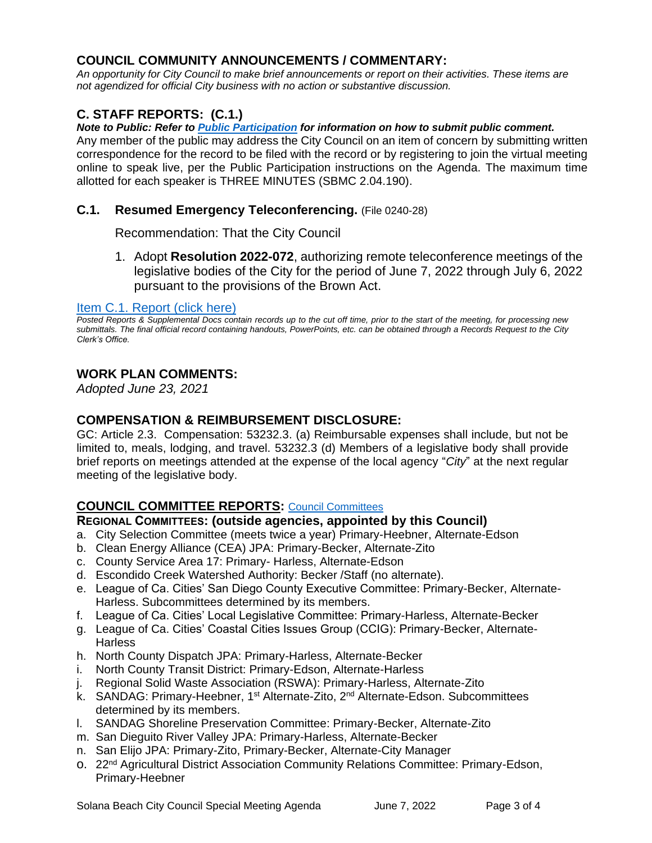### **COUNCIL COMMUNITY ANNOUNCEMENTS / COMMENTARY:**

*An opportunity for City Council to make brief announcements or report on their activities. These items are not agendized for official City business with no action or substantive discussion.* 

# **C. STAFF REPORTS: (C.1.)**

#### *Note to Public: Refer to Public Participation for information on how to submit public comment.*

Any member of the public may address the City Council on an item of concern by submitting written correspondence for the record to be filed with the record or by registering to join the virtual meeting online to speak live, per the Public Participation instructions on the Agenda. The maximum time allotted for each speaker is THREE MINUTES (SBMC 2.04.190).

#### **C.1. Resumed Emergency Teleconferencing.** (File 0240-28)

Recommendation: That the City Council

1. Adopt **Resolution 2022-072**, authorizing remote teleconference meetings of the [legislative bodies of the City for the period of June 7, 2022 through July 6, 2022](#page-4-0)  pursuant to the provisions of the Brown Act.

#### Item C.1. Report (click here)

*Posted Reports & Supplemental Docs contain records up to the cut off time, prior to the start of the meeting, for processing new submittals. The final official record containing handouts, PowerPoints, etc. can be obtained through a Records Request to the City Clerk's Office.*

# **WORK PLAN COMMENTS:**

*Adopted June 23, 2021*

#### **COMPENSATION & REIMBURSEMENT DISCLOSURE:**

GC: Article 2.3. Compensation: 53232.3. (a) Reimbursable expenses shall include, but not be limited to, meals, lodging, and travel. 53232.3 (d) Members of a legislative body shall provide brief reports on meetings attended at the expense of the local agency "*City*" at the next regular meeting of the legislative body.

#### **COUNCIL COMMITTEE REPORTS:** Council Committees

#### **REGIONAL COMMITTEES: (outside agencies, appointed by this Council)**

- a. City Selection Committee (meets twice a year) Primary-Heebner, Alternate-Edson
- b. Clean Energy Alliance (CEA) JPA: Primary-Becker, Alternate-Zito
- c. County Service Area 17: Primary- Harless, Alternate-Edson
- d. Escondido Creek Watershed Authority: Becker /Staff (no alternate).
- e. League of Ca. Cities' San Diego County Executive Committee: Primary-Becker, Alternate-Harless. Subcommittees determined by its members.
- f. League of Ca. Cities' Local Legislative Committee: Primary-Harless, Alternate-Becker
- g. League of Ca. Cities' Coastal Cities Issues Group (CCIG): Primary-Becker, Alternate-**Harless**
- h. North County Dispatch JPA: Primary-Harless, Alternate-Becker
- i. North County Transit District: Primary-Edson, Alternate-Harless
- j. Regional Solid Waste Association (RSWA): Primary-Harless, Alternate-Zito
- k. SANDAG: Primary-Heebner, 1<sup>st</sup> Alternate-Zito, 2<sup>nd</sup> Alternate-Edson. Subcommittees determined by its members.
- l. SANDAG Shoreline Preservation Committee: Primary-Becker, Alternate-Zito
- m. San Dieguito River Valley JPA: Primary-Harless, Alternate-Becker
- n. San Elijo JPA: Primary-Zito, Primary-Becker, Alternate-City Manager
- o. 22nd Agricultural District Association Community Relations Committee: Primary-Edson, Primary-Heebner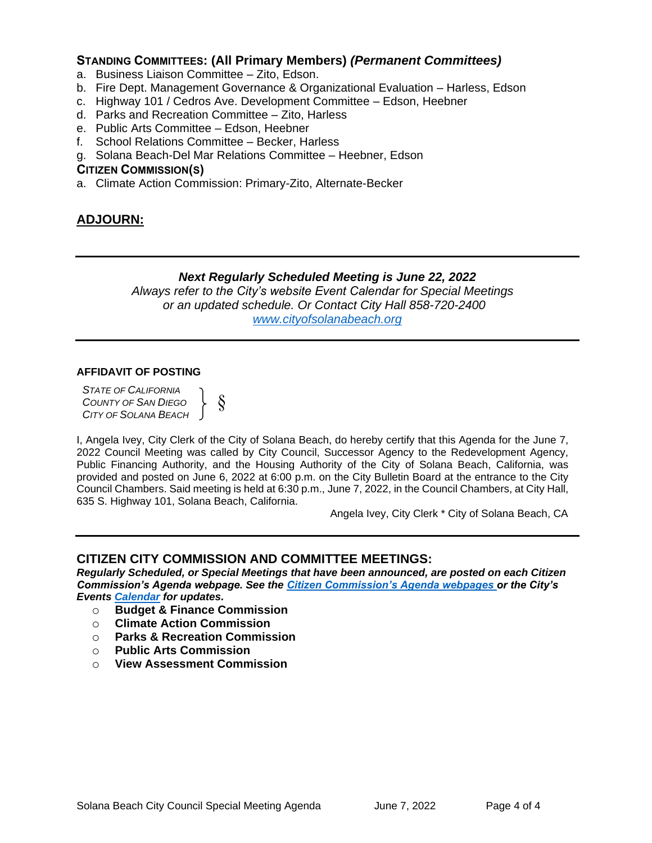#### **STANDING COMMITTEES: (All Primary Members)** *(Permanent Committees)*

- a. Business Liaison Committee Zito, Edson.
- b. Fire Dept. Management Governance & Organizational Evaluation Harless, Edson
- c. Highway 101 / Cedros Ave. Development Committee Edson, Heebner
- d. Parks and Recreation Committee Zito, Harless
- e. Public Arts Committee Edson, Heebner
- f. School Relations Committee Becker, Harless
- g. Solana Beach-Del Mar Relations Committee Heebner, Edson

#### **CITIZEN COMMISSION(S)**

a. Climate Action Commission: Primary-Zito, Alternate-Becker

§

# **ADJOURN:**

#### *Next Regularly Scheduled Meeting is June 22, 2022*

*Always refer to the City's website Event Calendar for Special Meetings or an updated schedule. Or Contact City Hall 858-720-2400 www.cityofsolanabeach.org* 

#### **AFFIDAVIT OF POSTING**

*STATE OF CALIFORNIA COUNTY OF SAN DIEGO CITY OF SOLANA BEACH* }

I, Angela Ivey, City Clerk of the City of Solana Beach, do hereby certify that this Agenda for the June 7, 2022 Council Meeting was called by City Council, Successor Agency to the Redevelopment Agency, Public Financing Authority, and the Housing Authority of the City of Solana Beach, California, was provided and posted on June 6, 2022 at 6:00 p.m. on the City Bulletin Board at the entrance to the City Council Chambers. Said meeting is held at 6:30 p.m., June 7, 2022, in the Council Chambers, at City Hall, 635 S. Highway 101, Solana Beach, California.

Angela Ivey, City Clerk \* City of Solana Beach, CA

#### **CITIZEN CITY COMMISSION AND COMMITTEE MEETINGS:**

*Regularly Scheduled, or Special Meetings that have been announced, are posted on each Citizen Commission's Agenda webpage. See the Citizen Commission's Agenda webpages or the City's Events Calendar for updates.* 

- o **Budget & Finance Commission**
- o **Climate Action Commission**
- o **Parks & Recreation Commission**
- o **Public Arts Commission**
- o **View Assessment Commission**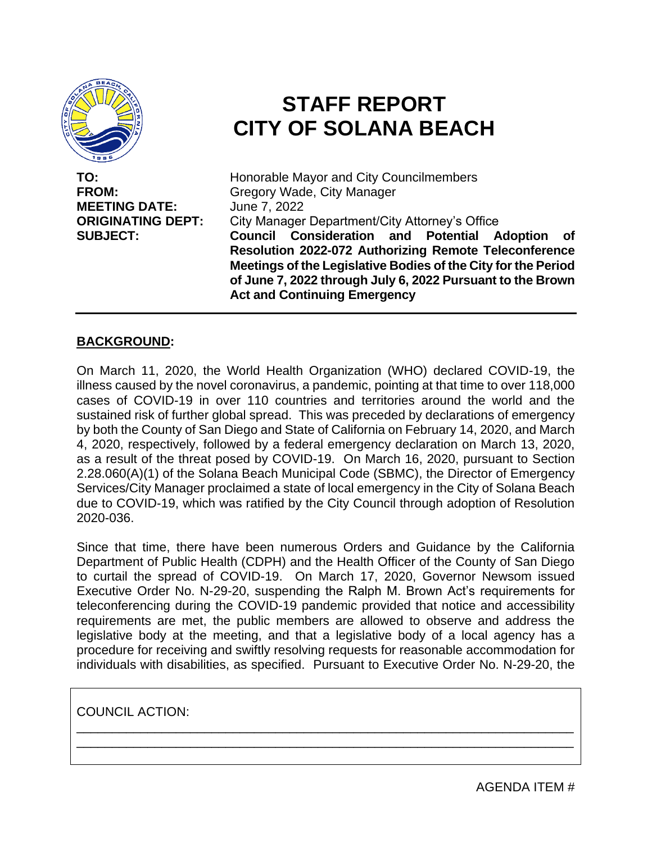<span id="page-4-0"></span>

**MEETING DATE:** June 7, 2022

# **STAFF REPORT CITY OF SOLANA BEACH**

**TO:** Honorable Mayor and City Councilmembers **FROM:** Gregory Wade, City Manager **ORIGINATING DEPT:** City Manager Department/City Attorney's Office **SUBJECT: Council Consideration and Potential Adoption of Resolution 2022-072 Authorizing Remote Teleconference Meetings of the Legislative Bodies of the City for the Period of June 7, 2022 through July 6, 2022 Pursuant to the Brown Act and Continuing Emergency**

# **BACKGROUND:**

On March 11, 2020, the World Health Organization (WHO) declared COVID-19, the illness caused by the novel coronavirus, a pandemic, pointing at that time to over 118,000 cases of COVID-19 in over 110 countries and territories around the world and the sustained risk of further global spread. This was preceded by declarations of emergency by both the County of San Diego and State of California on February 14, 2020, and March 4, 2020, respectively, followed by a federal emergency declaration on March 13, 2020, as a result of the threat posed by COVID-19. On March 16, 2020, pursuant to Section 2.28.060(A)(1) of the Solana Beach Municipal Code (SBMC), the Director of Emergency Services/City Manager proclaimed a state of local emergency in the City of Solana Beach due to COVID-19, which was ratified by the City Council through adoption of Resolution 2020-036.

Since that time, there have been numerous Orders and Guidance by the California Department of Public Health (CDPH) and the Health Officer of the County of San Diego to curtail the spread of COVID-19. On March 17, 2020, Governor Newsom issued Executive Order No. N-29-20, suspending the Ralph M. Brown Act's requirements for teleconferencing during the COVID-19 pandemic provided that notice and accessibility requirements are met, the public members are allowed to observe and address the legislative body at the meeting, and that a legislative body of a local agency has a procedure for receiving and swiftly resolving requests for reasonable accommodation for individuals with disabilities, as specified. Pursuant to Executive Order No. N-29-20, the

\_\_\_\_\_\_\_\_\_\_\_\_\_\_\_\_\_\_\_\_\_\_\_\_\_\_\_\_\_\_\_\_\_\_\_\_\_\_\_\_\_\_\_\_\_\_\_\_\_\_\_\_\_\_\_\_\_\_\_\_\_\_\_\_\_\_\_\_\_\_ \_\_\_\_\_\_\_\_\_\_\_\_\_\_\_\_\_\_\_\_\_\_\_\_\_\_\_\_\_\_\_\_\_\_\_\_\_\_\_\_\_\_\_\_\_\_\_\_\_\_\_\_\_\_\_\_\_\_\_\_\_\_\_\_\_\_\_\_\_\_

COUNCIL ACTION:

AGENDA ITEM #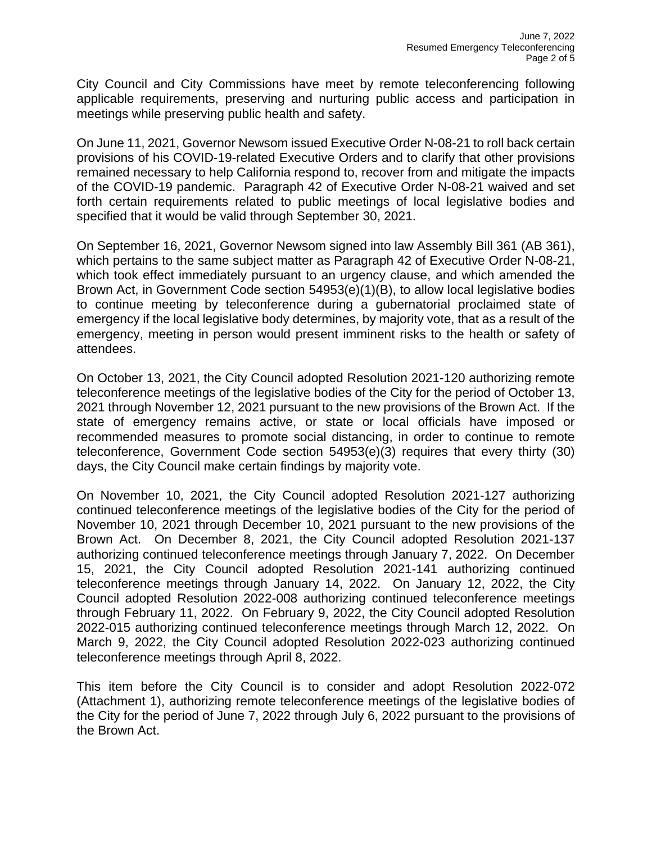City Council and City Commissions have meet by remote teleconferencing following applicable requirements, preserving and nurturing public access and participation in meetings while preserving public health and safety.

On June 11, 2021, Governor Newsom issued Executive Order N-08-21 to roll back certain provisions of his COVID-19-related Executive Orders and to clarify that other provisions remained necessary to help California respond to, recover from and mitigate the impacts of the COVID-19 pandemic. Paragraph 42 of Executive Order N-08-21 waived and set forth certain requirements related to public meetings of local legislative bodies and specified that it would be valid through September 30, 2021.

On September 16, 2021, Governor Newsom signed into law Assembly Bill 361 (AB 361), which pertains to the same subject matter as Paragraph 42 of Executive Order N-08-21, which took effect immediately pursuant to an urgency clause, and which amended the Brown Act, in Government Code section 54953(e)(1)(B), to allow local legislative bodies to continue meeting by teleconference during a gubernatorial proclaimed state of emergency if the local legislative body determines, by majority vote, that as a result of the emergency, meeting in person would present imminent risks to the health or safety of attendees.

On October 13, 2021, the City Council adopted Resolution 2021-120 authorizing remote teleconference meetings of the legislative bodies of the City for the period of October 13, 2021 through November 12, 2021 pursuant to the new provisions of the Brown Act. If the state of emergency remains active, or state or local officials have imposed or recommended measures to promote social distancing, in order to continue to remote teleconference, Government Code section 54953(e)(3) requires that every thirty (30) days, the City Council make certain findings by majority vote.

On November 10, 2021, the City Council adopted Resolution 2021-127 authorizing continued teleconference meetings of the legislative bodies of the City for the period of November 10, 2021 through December 10, 2021 pursuant to the new provisions of the Brown Act. On December 8, 2021, the City Council adopted Resolution 2021-137 authorizing continued teleconference meetings through January 7, 2022. On December 15, 2021, the City Council adopted Resolution 2021-141 authorizing continued teleconference meetings through January 14, 2022. On January 12, 2022, the City Council adopted Resolution 2022-008 authorizing continued teleconference meetings through February 11, 2022. On February 9, 2022, the City Council adopted Resolution 2022-015 authorizing continued teleconference meetings through March 12, 2022. On March 9, 2022, the City Council adopted Resolution 2022-023 authorizing continued teleconference meetings through April 8, 2022.

This item before the City Council is to consider and adopt Resolution 2022-072 (Attachment 1), authorizing remote teleconference meetings of the legislative bodies of the City for the period of June 7, 2022 through July 6, 2022 pursuant to the provisions of the Brown Act.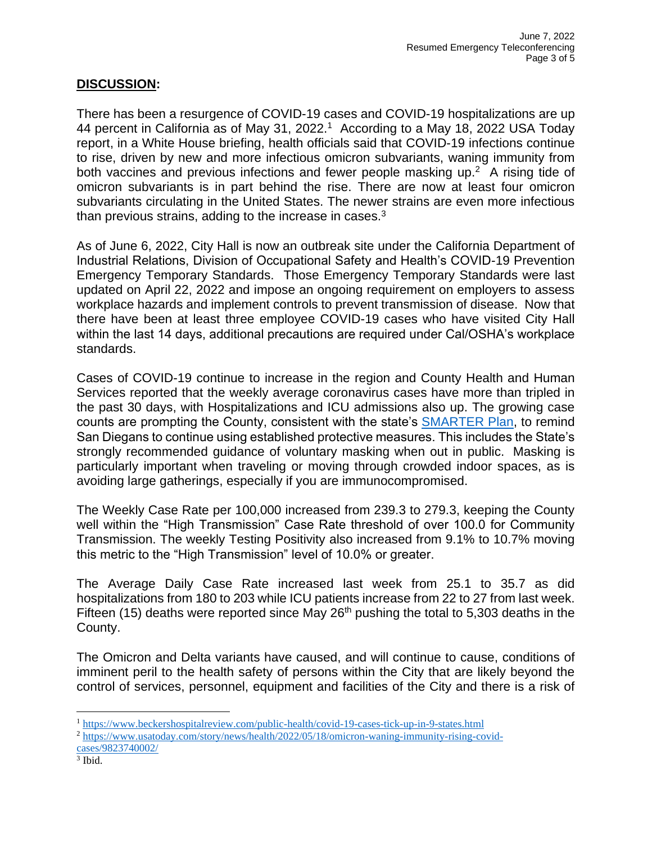#### **DISCUSSION:**

There has been a resurgence of COVID-19 cases and COVID-19 hospitalizations are up 44 percent in California as of May 31, 2022.<sup>1</sup> According to a May 18, 2022 USA Today report, in a White House briefing, health officials said that COVID-19 infections continue to rise, driven by new and more infectious omicron subvariants, waning immunity from both vaccines and previous infections and fewer people masking up.<sup>2</sup> A rising tide of omicron subvariants is in part behind the rise. There are now at least four omicron subvariants circulating in the United States. The newer strains are even more infectious than previous strains, adding to the increase in cases. $3$ 

As of June 6, 2022, City Hall is now an outbreak site under the California Department of Industrial Relations, Division of Occupational Safety and Health's COVID-19 Prevention Emergency Temporary Standards. Those Emergency Temporary Standards were last updated on April 22, 2022 and impose an ongoing requirement on employers to assess workplace hazards and implement controls to prevent transmission of disease. Now that there have been at least three employee COVID-19 cases who have visited City Hall within the last 14 days, additional precautions are required under Cal/OSHA's workplace standards.

Cases of COVID-19 continue to increase in the region and County Health and Human Services reported that the weekly average coronavirus cases have more than tripled in the past 30 days, with Hospitalizations and ICU admissions also up. The growing case counts are prompting the County, consistent with the state's SMARTER Plan, to remind San Diegans to continue using established protective measures. This includes the State's strongly recommended guidance of voluntary masking when out in public. Masking is particularly important when traveling or moving through crowded indoor spaces, as is avoiding large gatherings, especially if you are immunocompromised.

The Weekly Case Rate per 100,000 increased from 239.3 to 279.3, keeping the County well within the "High Transmission" Case Rate threshold of over 100.0 for Community Transmission. The weekly Testing Positivity also increased from 9.1% to 10.7% moving this metric to the "High Transmission" level of 10.0% or greater.

The Average Daily Case Rate increased last week from 25.1 to 35.7 as did hospitalizations from 180 to 203 while ICU patients increase from 22 to 27 from last week. Fifteen (15) deaths were reported since May  $26<sup>th</sup>$  pushing the total to 5,303 deaths in the County.

The Omicron and Delta variants have caused, and will continue to cause, conditions of imminent peril to the health safety of persons within the City that are likely beyond the control of services, personnel, equipment and facilities of the City and there is a risk of

<sup>1</sup> https://www.beckershospitalreview.com/public-health/covid-19-cases-tick-up-in-9-states.html

<sup>2</sup> https://www.usatoday.com/story/news/health/2022/05/18/omicron-waning-immunity-rising-covidcases/9823740002/

<sup>3</sup> Ibid.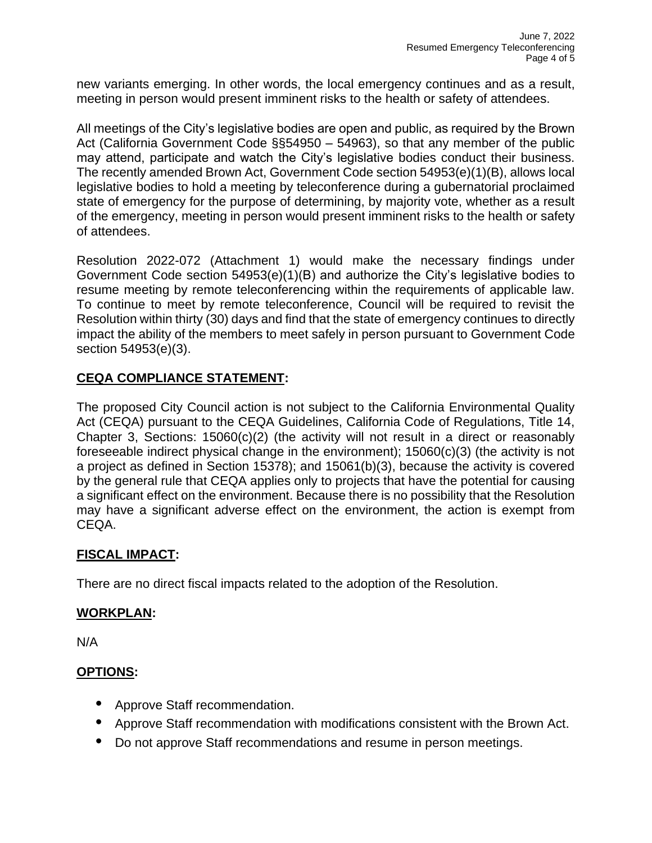new variants emerging. In other words, the local emergency continues and as a result, meeting in person would present imminent risks to the health or safety of attendees.

All meetings of the City's legislative bodies are open and public, as required by the Brown Act (California Government Code §§54950 – 54963), so that any member of the public may attend, participate and watch the City's legislative bodies conduct their business. The recently amended Brown Act, Government Code section 54953(e)(1)(B), allows local legislative bodies to hold a meeting by teleconference during a gubernatorial proclaimed state of emergency for the purpose of determining, by majority vote, whether as a result of the emergency, meeting in person would present imminent risks to the health or safety of attendees.

Resolution 2022-072 (Attachment 1) would make the necessary findings under Government Code section 54953(e)(1)(B) and authorize the City's legislative bodies to resume meeting by remote teleconferencing within the requirements of applicable law. To continue to meet by remote teleconference, Council will be required to revisit the Resolution within thirty (30) days and find that the state of emergency continues to directly impact the ability of the members to meet safely in person pursuant to Government Code section 54953(e)(3).

# **CEQA COMPLIANCE STATEMENT:**

The proposed City Council action is not subject to the California Environmental Quality Act (CEQA) pursuant to the CEQA Guidelines, California Code of Regulations, Title 14, Chapter 3, Sections: 15060(c)(2) (the activity will not result in a direct or reasonably foreseeable indirect physical change in the environment); 15060(c)(3) (the activity is not a project as defined in Section 15378); and 15061(b)(3), because the activity is covered by the general rule that CEQA applies only to projects that have the potential for causing a significant effect on the environment. Because there is no possibility that the Resolution may have a significant adverse effect on the environment, the action is exempt from CEQA.

#### **FISCAL IMPACT:**

There are no direct fiscal impacts related to the adoption of the Resolution.

#### **WORKPLAN:**

N/A

# **OPTIONS:**

- **•** Approve Staff recommendation.
- **•** Approve Staff recommendation with modifications consistent with the Brown Act.
- **•** Do not approve Staff recommendations and resume in person meetings.